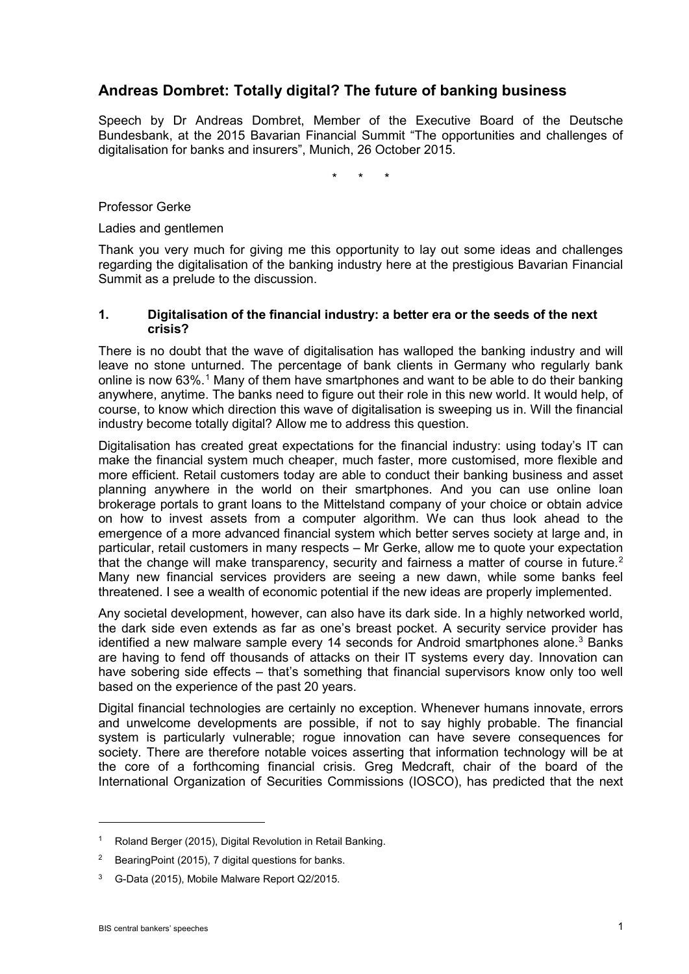# **Andreas Dombret: Totally digital? The future of banking business**

Speech by Dr Andreas Dombret, Member of the Executive Board of the Deutsche Bundesbank, at the 2015 Bavarian Financial Summit "The opportunities and challenges of digitalisation for banks and insurers", Munich, 26 October 2015.

\* \* \*

Professor Gerke

Ladies and gentlemen

Thank you very much for giving me this opportunity to lay out some ideas and challenges regarding the digitalisation of the banking industry here at the prestigious Bavarian Financial Summit as a prelude to the discussion.

#### **1. Digitalisation of the financial industry: a better era or the seeds of the next crisis?**

There is no doubt that the wave of digitalisation has walloped the banking industry and will leave no stone unturned. The percentage of bank clients in Germany who regularly bank online is now  $63\%$ .<sup>[1](#page-0-0)</sup> Many of them have smartphones and want to be able to do their banking anywhere, anytime. The banks need to figure out their role in this new world. It would help, of course, to know which direction this wave of digitalisation is sweeping us in. Will the financial industry become totally digital? Allow me to address this question.

Digitalisation has created great expectations for the financial industry: using today's IT can make the financial system much cheaper, much faster, more customised, more flexible and more efficient. Retail customers today are able to conduct their banking business and asset planning anywhere in the world on their smartphones. And you can use online loan brokerage portals to grant loans to the Mittelstand company of your choice or obtain advice on how to invest assets from a computer algorithm. We can thus look ahead to the emergence of a more advanced financial system which better serves society at large and, in particular, retail customers in many respects – Mr Gerke, allow me to quote your expectation that the change will make transparency, security and fairness a matter of course in future.<sup>[2](#page-0-1)</sup> Many new financial services providers are seeing a new dawn, while some banks feel threatened. I see a wealth of economic potential if the new ideas are properly implemented.

Any societal development, however, can also have its dark side. In a highly networked world, the dark side even extends as far as one's breast pocket. A security service provider has identified a new malware sample every 14 seconds for Android smartphones alone.<sup>[3](#page-0-2)</sup> Banks are having to fend off thousands of attacks on their IT systems every day. Innovation can have sobering side effects – that's something that financial supervisors know only too well based on the experience of the past 20 years.

Digital financial technologies are certainly no exception. Whenever humans innovate, errors and unwelcome developments are possible, if not to say highly probable. The financial system is particularly vulnerable; rogue innovation can have severe consequences for society. There are therefore notable voices asserting that information technology will be at the core of a forthcoming financial crisis. Greg Medcraft, chair of the board of the International Organization of Securities Commissions (IOSCO), has predicted that the next

<u>.</u>

<span id="page-0-0"></span><sup>&</sup>lt;sup>1</sup> Roland Berger (2015), Digital Revolution in Retail Banking.

<span id="page-0-1"></span><sup>2</sup> BearingPoint (2015), 7 digital questions for banks.

<span id="page-0-2"></span><sup>3</sup> G-Data (2015), Mobile Malware Report Q2/2015.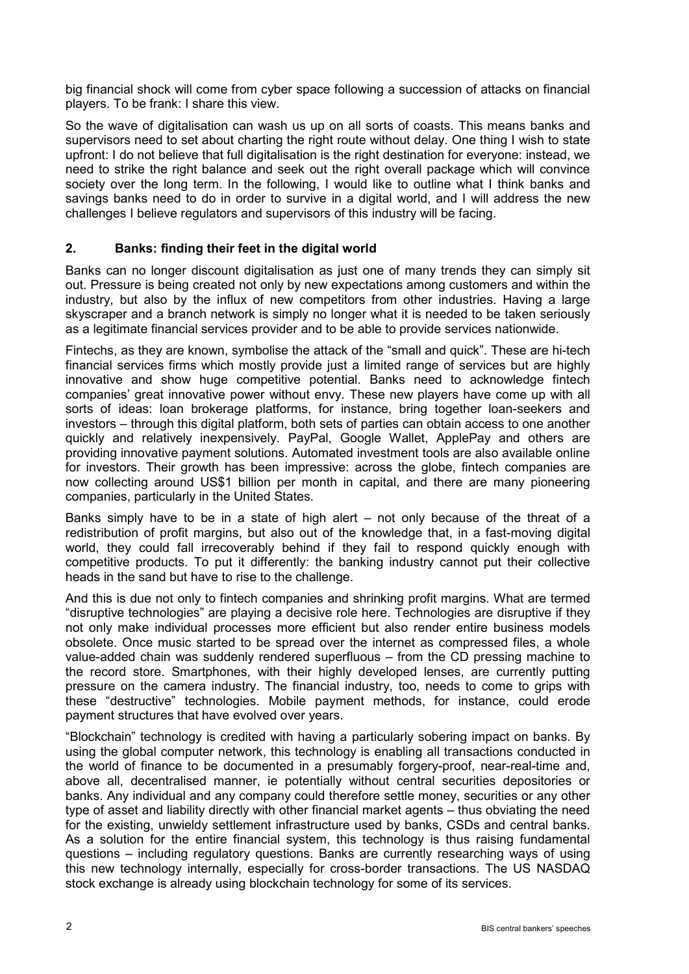big financial shock will come from cyber space following a succession of attacks on financial players. To be frank: I share this view.

So the wave of digitalisation can wash us up on all sorts of coasts. This means banks and supervisors need to set about charting the right route without delay. One thing I wish to state upfront: I do not believe that full digitalisation is the right destination for everyone: instead, we need to strike the right balance and seek out the right overall package which will convince society over the long term. In the following, I would like to outline what I think banks and savings banks need to do in order to survive in a digital world, and I will address the new challenges I believe regulators and supervisors of this industry will be facing.

# **2. Banks: finding their feet in the digital world**

Banks can no longer discount digitalisation as just one of many trends they can simply sit out. Pressure is being created not only by new expectations among customers and within the industry, but also by the influx of new competitors from other industries. Having a large skyscraper and a branch network is simply no longer what it is needed to be taken seriously as a legitimate financial services provider and to be able to provide services nationwide.

Fintechs, as they are known, symbolise the attack of the "small and quick". These are hi-tech financial services firms which mostly provide just a limited range of services but are highly innovative and show huge competitive potential. Banks need to acknowledge fintech companies' great innovative power without envy. These new players have come up with all sorts of ideas: loan brokerage platforms, for instance, bring together loan-seekers and investors – through this digital platform, both sets of parties can obtain access to one another quickly and relatively inexpensively. PayPal, Google Wallet, ApplePay and others are providing innovative payment solutions. Automated investment tools are also available online for investors. Their growth has been impressive: across the globe, fintech companies are now collecting around US\$1 billion per month in capital, and there are many pioneering companies, particularly in the United States.

Banks simply have to be in a state of high alert – not only because of the threat of a redistribution of profit margins, but also out of the knowledge that, in a fast-moving digital world, they could fall irrecoverably behind if they fail to respond quickly enough with competitive products. To put it differently: the banking industry cannot put their collective heads in the sand but have to rise to the challenge.

And this is due not only to fintech companies and shrinking profit margins. What are termed "disruptive technologies" are playing a decisive role here. Technologies are disruptive if they not only make individual processes more efficient but also render entire business models obsolete. Once music started to be spread over the internet as compressed files, a whole value-added chain was suddenly rendered superfluous – from the CD pressing machine to the record store. Smartphones, with their highly developed lenses, are currently putting pressure on the camera industry. The financial industry, too, needs to come to grips with these "destructive" technologies. Mobile payment methods, for instance, could erode payment structures that have evolved over years.

"Blockchain" technology is credited with having a particularly sobering impact on banks. By using the global computer network, this technology is enabling all transactions conducted in the world of finance to be documented in a presumably forgery-proof, near-real-time and, above all, decentralised manner, ie potentially without central securities depositories or banks. Any individual and any company could therefore settle money, securities or any other type of asset and liability directly with other financial market agents – thus obviating the need for the existing, unwieldy settlement infrastructure used by banks, CSDs and central banks. As a solution for the entire financial system, this technology is thus raising fundamental questions – including regulatory questions. Banks are currently researching ways of using this new technology internally, especially for cross-border transactions. The US NASDAQ stock exchange is already using blockchain technology for some of its services.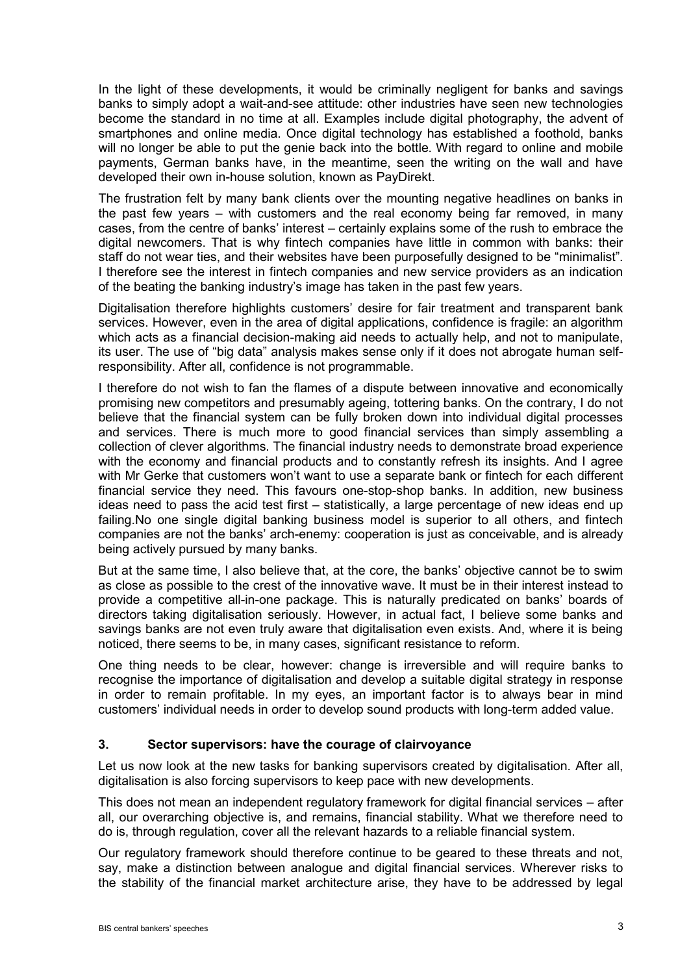In the light of these developments, it would be criminally negligent for banks and savings banks to simply adopt a wait-and-see attitude: other industries have seen new technologies become the standard in no time at all. Examples include digital photography, the advent of smartphones and online media. Once digital technology has established a foothold, banks will no longer be able to put the genie back into the bottle. With regard to online and mobile payments, German banks have, in the meantime, seen the writing on the wall and have developed their own in-house solution, known as PayDirekt.

The frustration felt by many bank clients over the mounting negative headlines on banks in the past few years – with customers and the real economy being far removed, in many cases, from the centre of banks' interest – certainly explains some of the rush to embrace the digital newcomers. That is why fintech companies have little in common with banks: their staff do not wear ties, and their websites have been purposefully designed to be "minimalist". I therefore see the interest in fintech companies and new service providers as an indication of the beating the banking industry's image has taken in the past few years.

Digitalisation therefore highlights customers' desire for fair treatment and transparent bank services. However, even in the area of digital applications, confidence is fragile: an algorithm which acts as a financial decision-making aid needs to actually help, and not to manipulate, its user. The use of "big data" analysis makes sense only if it does not abrogate human selfresponsibility. After all, confidence is not programmable.

I therefore do not wish to fan the flames of a dispute between innovative and economically promising new competitors and presumably ageing, tottering banks. On the contrary, I do not believe that the financial system can be fully broken down into individual digital processes and services. There is much more to good financial services than simply assembling a collection of clever algorithms. The financial industry needs to demonstrate broad experience with the economy and financial products and to constantly refresh its insights. And I agree with Mr Gerke that customers won't want to use a separate bank or fintech for each different financial service they need. This favours one-stop-shop banks. In addition, new business ideas need to pass the acid test first – statistically, a large percentage of new ideas end up failing.No one single digital banking business model is superior to all others, and fintech companies are not the banks' arch-enemy: cooperation is just as conceivable, and is already being actively pursued by many banks.

But at the same time, I also believe that, at the core, the banks' objective cannot be to swim as close as possible to the crest of the innovative wave. It must be in their interest instead to provide a competitive all-in-one package. This is naturally predicated on banks' boards of directors taking digitalisation seriously. However, in actual fact, I believe some banks and savings banks are not even truly aware that digitalisation even exists. And, where it is being noticed, there seems to be, in many cases, significant resistance to reform.

One thing needs to be clear, however: change is irreversible and will require banks to recognise the importance of digitalisation and develop a suitable digital strategy in response in order to remain profitable. In my eyes, an important factor is to always bear in mind customers' individual needs in order to develop sound products with long-term added value.

## **3. Sector supervisors: have the courage of clairvoyance**

Let us now look at the new tasks for banking supervisors created by digitalisation. After all, digitalisation is also forcing supervisors to keep pace with new developments.

This does not mean an independent regulatory framework for digital financial services – after all, our overarching objective is, and remains, financial stability. What we therefore need to do is, through regulation, cover all the relevant hazards to a reliable financial system.

Our regulatory framework should therefore continue to be geared to these threats and not, say, make a distinction between analogue and digital financial services. Wherever risks to the stability of the financial market architecture arise, they have to be addressed by legal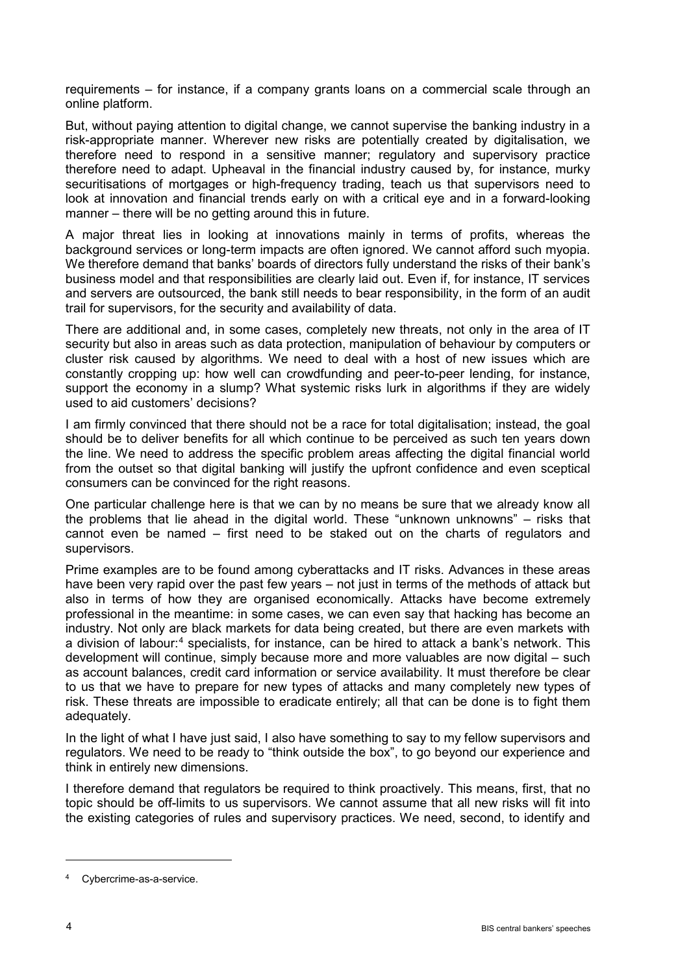requirements – for instance, if a company grants loans on a commercial scale through an online platform.

But, without paying attention to digital change, we cannot supervise the banking industry in a risk-appropriate manner. Wherever new risks are potentially created by digitalisation, we therefore need to respond in a sensitive manner; regulatory and supervisory practice therefore need to adapt. Upheaval in the financial industry caused by, for instance, murky securitisations of mortgages or high-frequency trading, teach us that supervisors need to look at innovation and financial trends early on with a critical eye and in a forward-looking manner – there will be no getting around this in future.

A major threat lies in looking at innovations mainly in terms of profits, whereas the background services or long-term impacts are often ignored. We cannot afford such myopia. We therefore demand that banks' boards of directors fully understand the risks of their bank's business model and that responsibilities are clearly laid out. Even if, for instance, IT services and servers are outsourced, the bank still needs to bear responsibility, in the form of an audit trail for supervisors, for the security and availability of data.

There are additional and, in some cases, completely new threats, not only in the area of IT security but also in areas such as data protection, manipulation of behaviour by computers or cluster risk caused by algorithms. We need to deal with a host of new issues which are constantly cropping up: how well can crowdfunding and peer-to-peer lending, for instance, support the economy in a slump? What systemic risks lurk in algorithms if they are widely used to aid customers' decisions?

I am firmly convinced that there should not be a race for total digitalisation; instead, the goal should be to deliver benefits for all which continue to be perceived as such ten years down the line. We need to address the specific problem areas affecting the digital financial world from the outset so that digital banking will justify the upfront confidence and even sceptical consumers can be convinced for the right reasons.

One particular challenge here is that we can by no means be sure that we already know all the problems that lie ahead in the digital world. These "unknown unknowns" – risks that cannot even be named – first need to be staked out on the charts of regulators and supervisors.

Prime examples are to be found among cyberattacks and IT risks. Advances in these areas have been very rapid over the past few years – not just in terms of the methods of attack but also in terms of how they are organised economically. Attacks have become extremely professional in the meantime: in some cases, we can even say that hacking has become an industry. Not only are black markets for data being created, but there are even markets with a division of labour:<sup>[4](#page-3-0)</sup> specialists, for instance, can be hired to attack a bank's network. This development will continue, simply because more and more valuables are now digital – such as account balances, credit card information or service availability. It must therefore be clear to us that we have to prepare for new types of attacks and many completely new types of risk. These threats are impossible to eradicate entirely; all that can be done is to fight them adequately.

In the light of what I have just said, I also have something to say to my fellow supervisors and regulators. We need to be ready to "think outside the box", to go beyond our experience and think in entirely new dimensions.

I therefore demand that regulators be required to think proactively. This means, first, that no topic should be off-limits to us supervisors. We cannot assume that all new risks will fit into the existing categories of rules and supervisory practices. We need, second, to identify and

-

<span id="page-3-0"></span><sup>4</sup> Cybercrime-as-a-service.